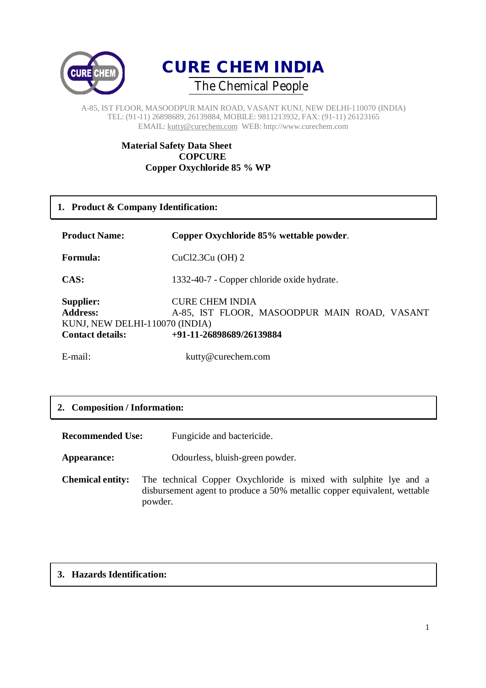



### **Material Safety Data Sheet COPCURE Copper Oxychloride 85 % WP**

### **1. Product & Company Identification:**

| <b>Product Name:</b>                                                                      | Copper Oxychloride 85% wettable powder.                                                            |
|-------------------------------------------------------------------------------------------|----------------------------------------------------------------------------------------------------|
| Formula:                                                                                  | $CuCl2.3Cu$ (OH) 2                                                                                 |
| CAS:                                                                                      | 1332-40-7 - Copper chloride oxide hydrate.                                                         |
| Supplier:<br><b>Address:</b><br>KUNJ, NEW DELHI-110070 (INDIA)<br><b>Contact details:</b> | <b>CURE CHEM INDIA</b><br>A-85, IST FLOOR, MASOODPUR MAIN ROAD, VASANT<br>+91-11-26898689/26139884 |

E-mail: kutty@curechem.com

# **2. Composition / Information:**

| <b>Recommended Use:</b>            | Fungicide and bactericide.                                                                                                                    |
|------------------------------------|-----------------------------------------------------------------------------------------------------------------------------------------------|
| Appearance:                        | Odourless, bluish-green powder.                                                                                                               |
| <b>Chemical entity:</b><br>powder. | The technical Copper Oxychloride is mixed with sulphite lye and a<br>disbursement agent to produce a 50% metallic copper equivalent, wettable |

# **3. Hazards Identification:**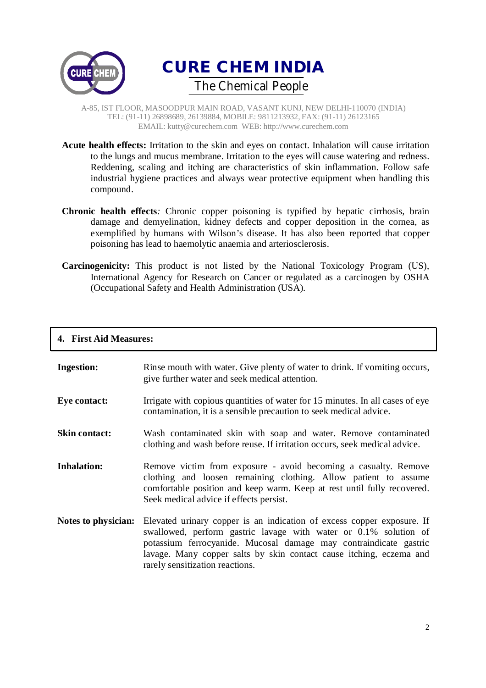



- **Acute health effects:** Irritation to the skin and eyes on contact. Inhalation will cause irritation to the lungs and mucus membrane. Irritation to the eyes will cause watering and redness. Reddening, scaling and itching are characteristics of skin inflammation. Follow safe industrial hygiene practices and always wear protective equipment when handling this compound.
- **Chronic health effects***:* Chronic copper poisoning is typified by hepatic cirrhosis, brain damage and demyelination, kidney defects and copper deposition in the cornea, as exemplified by humans with Wilson's disease. It has also been reported that copper poisoning has lead to haemolytic anaemia and arteriosclerosis.
- **Carcinogenicity:** This product is not listed by the National Toxicology Program (US), International Agency for Research on Cancer or regulated as a carcinogen by OSHA (Occupational Safety and Health Administration (USA).

#### **4. First Aid Measures:**

| <b>Ingestion:</b>    | Rinse mouth with water. Give plenty of water to drink. If vomiting occurs,<br>give further water and seek medical attention.                                                                                                                                                                                              |
|----------------------|---------------------------------------------------------------------------------------------------------------------------------------------------------------------------------------------------------------------------------------------------------------------------------------------------------------------------|
| Eye contact:         | Irrigate with copious quantities of water for 15 minutes. In all cases of eye<br>contamination, it is a sensible precaution to seek medical advice.                                                                                                                                                                       |
| <b>Skin contact:</b> | Wash contaminated skin with soap and water. Remove contaminated<br>clothing and wash before reuse. If irritation occurs, seek medical advice.                                                                                                                                                                             |
| <b>Inhalation:</b>   | Remove victim from exposure - avoid becoming a casualty. Remove<br>clothing and loosen remaining clothing. Allow patient to assume<br>comfortable position and keep warm. Keep at rest until fully recovered.<br>Seek medical advice if effects persist.                                                                  |
| Notes to physician:  | Elevated urinary copper is an indication of excess copper exposure. If<br>swallowed, perform gastric lavage with water or 0.1% solution of<br>potassium ferrocyanide. Mucosal damage may contraindicate gastric<br>lavage. Many copper salts by skin contact cause itching, eczema and<br>rarely sensitization reactions. |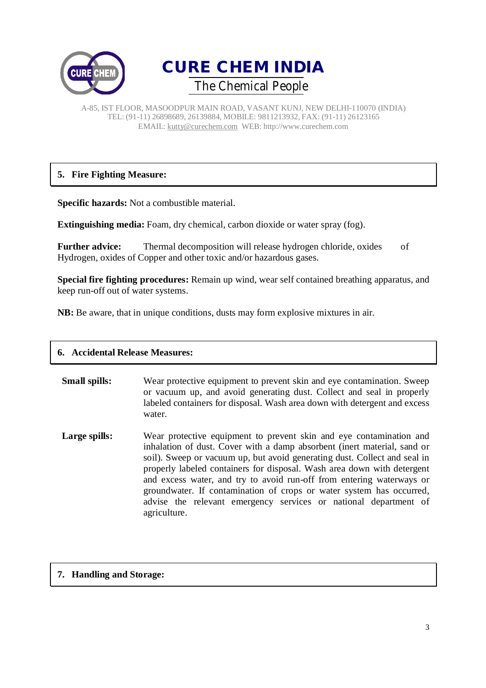



# **5. Fire Fighting Measure:**

**Specific hazards:** Not a combustible material.

**Extinguishing media:** Foam, dry chemical, carbon dioxide or water spray (fog).

Further advice: Thermal decomposition will release hydrogen chloride, oxides of Hydrogen, oxides of Copper and other toxic and/or hazardous gases.

**Special fire fighting procedures:** Remain up wind, wear self contained breathing apparatus, and keep run-off out of water systems.

**NB:** Be aware, that in unique conditions, dusts may form explosive mixtures in air.

| <b>6. Accidental Release Measures:</b> |                                                                                                                                                                                                                                                                                                                                                                                                                                                                                                                                              |
|----------------------------------------|----------------------------------------------------------------------------------------------------------------------------------------------------------------------------------------------------------------------------------------------------------------------------------------------------------------------------------------------------------------------------------------------------------------------------------------------------------------------------------------------------------------------------------------------|
| <b>Small spills:</b>                   | Wear protective equipment to prevent skin and eye contamination. Sweep<br>or vacuum up, and avoid generating dust. Collect and seal in properly<br>labeled containers for disposal. Wash area down with detergent and excess<br>water.                                                                                                                                                                                                                                                                                                       |
| Large spills:                          | Wear protective equipment to prevent skin and eye contamination and<br>inhalation of dust. Cover with a damp absorbent (inert material, sand or<br>soil). Sweep or vacuum up, but avoid generating dust. Collect and seal in<br>properly labeled containers for disposal. Wash area down with detergent<br>and excess water, and try to avoid run-off from entering waterways or<br>groundwater. If contamination of crops or water system has occurred,<br>advise the relevant emergency services or national department of<br>agriculture. |

# **7. Handling and Storage:**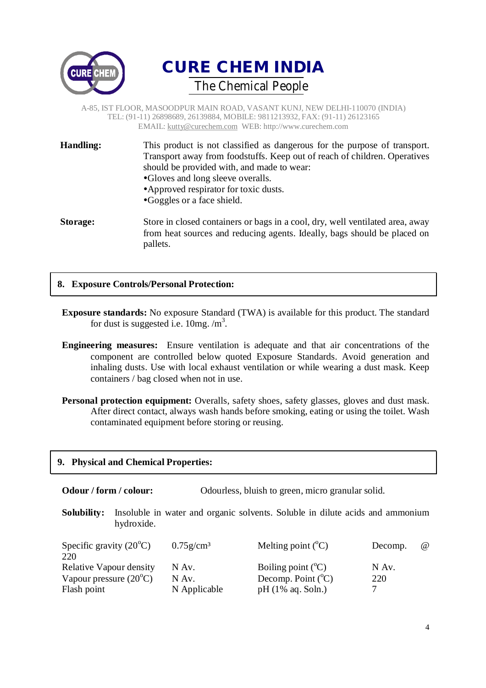



| <b>Handling:</b> | This product is not classified as dangerous for the purpose of transport.<br>Transport away from foodstuffs. Keep out of reach of children. Operatives<br>should be provided with, and made to wear:<br>•Gloves and long sleeve overalls.<br>• Approved respirator for toxic dusts.<br>•Goggles or a face shield. |
|------------------|-------------------------------------------------------------------------------------------------------------------------------------------------------------------------------------------------------------------------------------------------------------------------------------------------------------------|
| Storage:         | Store in closed containers or bags in a cool, dry, well ventilated area, away                                                                                                                                                                                                                                     |

**Storage:** Store in closed containers or bags in a cool, dry, well ventilated area, away from heat sources and reducing agents. Ideally, bags should be placed on pallets.

### **8. Exposure Controls/Personal Protection:**

- **Exposure standards:** No exposure Standard (TWA) is available for this product. The standard for dust is suggested i.e.  $10mg$ . /m<sup>3</sup>.
- **Engineering measures:** Ensure ventilation is adequate and that air concentrations of the component are controlled below quoted Exposure Standards. Avoid generation and inhaling dusts. Use with local exhaust ventilation or while wearing a dust mask. Keep containers / bag closed when not in use.
- **Personal protection equipment:** Overalls, safety shoes, safety glasses, gloves and dust mask. After direct contact, always wash hands before smoking, eating or using the toilet. Wash contaminated equipment before storing or reusing.

### **9. Physical and Chemical Properties:**

| Odour / form / colour: | Odourless, bluish to green, micro granular solid. |
|------------------------|---------------------------------------------------|
|------------------------|---------------------------------------------------|

**Solubility:** Insoluble in water and organic solvents. Soluble in dilute acids and ammonium hydroxide.

| Specific gravity $(20^{\circ}C)$ | $0.75$ g/cm <sup>3</sup> | Melting point $({}^{\circ}C)$ | $\omega$<br>Decomp. |
|----------------------------------|--------------------------|-------------------------------|---------------------|
| 220                              |                          |                               |                     |
| <b>Relative Vapour density</b>   | N Av.                    | Boiling point $({}^{\circ}C)$ | N Av.               |
| Vapour pressure $(20^{\circ}C)$  | N Av.                    | Decomp. Point $({}^{\circ}C)$ | 220                 |
| Flash point                      | N Applicable             | $pH(1\% \text{ aq. Soln.})$   |                     |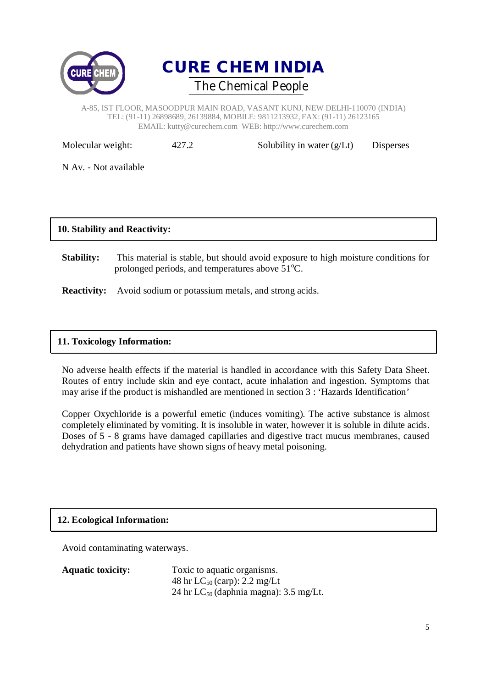



| Molecular weight:     | 427.2 | Solubility in water $(g/Lt)$ | Disperses |
|-----------------------|-------|------------------------------|-----------|
| N Av. - Not available |       |                              |           |

### **10. Stability and Reactivity:**

**Stability:** This material is stable, but should avoid exposure to high moisture conditions for prolonged periods, and temperatures above  $51^{\circ}$ C.

**Reactivity:** Avoid sodium or potassium metals, and strong acids.

#### **11. Toxicology Information:**

No adverse health effects if the material is handled in accordance with this Safety Data Sheet. Routes of entry include skin and eye contact, acute inhalation and ingestion. Symptoms that may arise if the product is mishandled are mentioned in section 3 : 'Hazards Identification'

Copper Oxychloride is a powerful emetic (induces vomiting). The active substance is almost completely eliminated by vomiting. It is insoluble in water, however it is soluble in dilute acids. Doses of 5 - 8 grams have damaged capillaries and digestive tract mucus membranes, caused dehydration and patients have shown signs of heavy metal poisoning.

### **12. Ecological Information:**

Avoid contaminating waterways.

| <b>Aquatic toxicity:</b> | Toxic to aquatic organisms.                 |
|--------------------------|---------------------------------------------|
|                          | 48 hr $LC_{50}$ (carp): 2.2 mg/Lt           |
|                          | 24 hr $LC_{50}$ (daphnia magna): 3.5 mg/Lt. |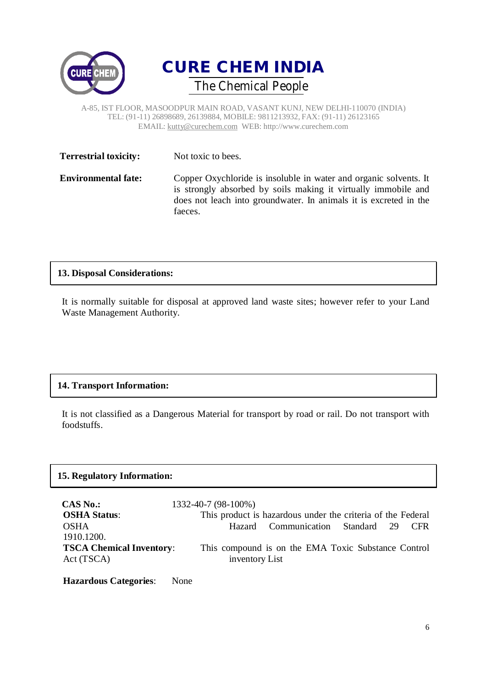



| <b>Terrestrial toxicity:</b> | Not toxic to bees.                                                                                                                                                                                                  |
|------------------------------|---------------------------------------------------------------------------------------------------------------------------------------------------------------------------------------------------------------------|
| <b>Environmental fate:</b>   | Copper Oxychloride is insoluble in water and organic solvents. It<br>is strongly absorbed by soils making it virtually immobile and<br>does not leach into groundwater. In animals it is excreted in the<br>faeces. |

### **13. Disposal Considerations:**

It is normally suitable for disposal at approved land waste sites; however refer to your Land Waste Management Authority.

# **14. Transport Information:**

It is not classified as a Dangerous Material for transport by road or rail. Do not transport with foodstuffs.

### **15. Regulatory Information:**

| <b>CAS No.:</b>                 | 1332-40-7 (98-100%)                                         |
|---------------------------------|-------------------------------------------------------------|
| <b>OSHA Status:</b>             | This product is hazardous under the criteria of the Federal |
| <b>OSHA</b>                     | Hazard Communication Standard 29<br>C FR                    |
| 1910.1200.                      |                                                             |
| <b>TSCA Chemical Inventory:</b> | This compound is on the EMA Toxic Substance Control         |
| Act (TSCA)                      | inventory List                                              |
|                                 |                                                             |

**Hazardous Categories**: None